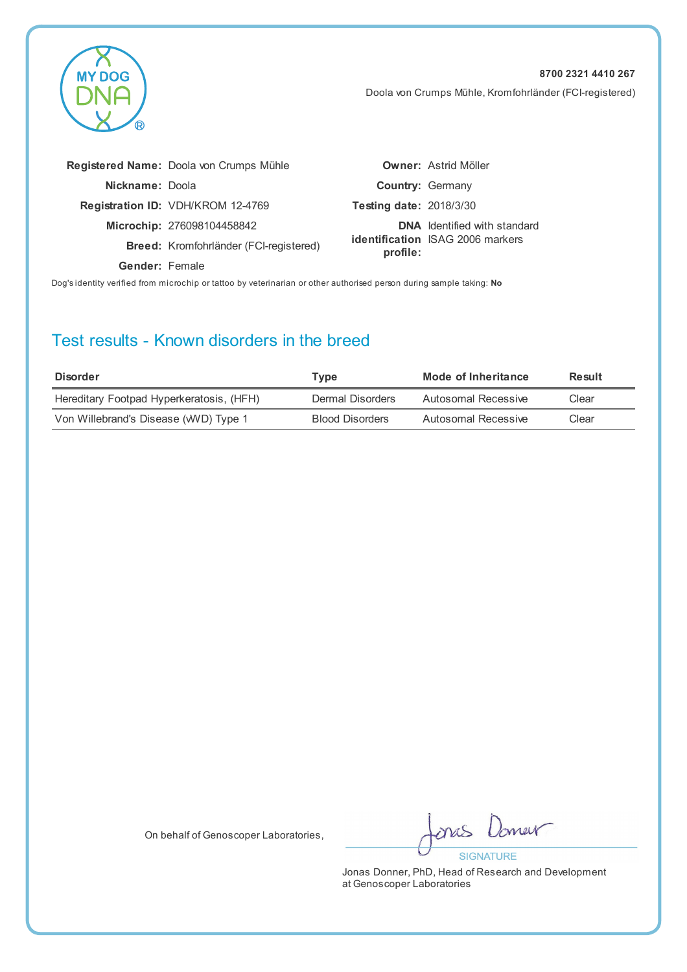Doola von Crumps Mühle, Kromfohrländer (FCI-registered)

|                                                                                                                      | Registered Name: Doola von Crumps Mühle |                                | <b>Owner: Astrid Möller</b>             |  |
|----------------------------------------------------------------------------------------------------------------------|-----------------------------------------|--------------------------------|-----------------------------------------|--|
| Nickname: Doola                                                                                                      |                                         | <b>Country: Germany</b>        |                                         |  |
|                                                                                                                      | Registration ID: VDH/KROM 12-4769       | <b>Testing date: 2018/3/30</b> |                                         |  |
|                                                                                                                      | Microchip: 276098104458842              |                                | <b>DNA</b> Identified with standard     |  |
|                                                                                                                      | Breed: Kromfohrländer (FCI-registered)  | profile:                       | <b>identification</b> ISAG 2006 markers |  |
| Gender: Female                                                                                                       |                                         |                                |                                         |  |
| Dog's identity verified from microchip or tattoo by veterinarian or other authorised person during sample taking: No |                                         |                                |                                         |  |

### Test results - Known disorders in the breed

**MY DOG** 

| <b>Disorder</b>                          | Type                   | Mode of Inheritance | Result |
|------------------------------------------|------------------------|---------------------|--------|
| Hereditary Footpad Hyperkeratosis, (HFH) | Dermal Disorders       | Autosomal Recessive | Clear  |
| Von Willebrand's Disease (WVD) Type 1    | <b>Blood Disorders</b> | Autosomal Recessive | Clear  |

On behalf of Genoscoper Laboratories,

new ones **SIGNATURE**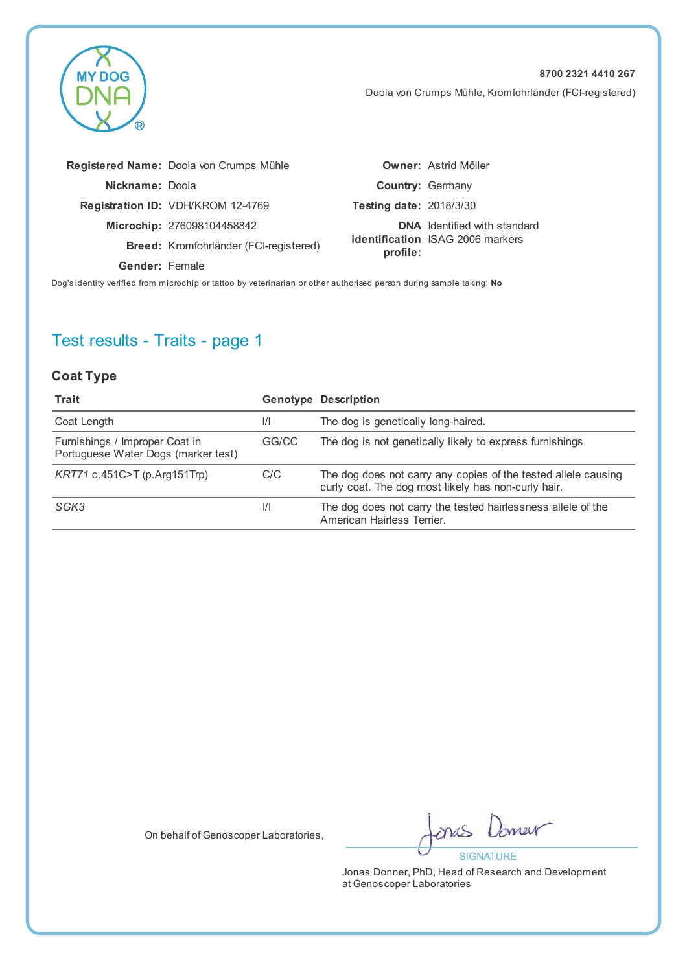

Doola von Crumps Mühle, Kromfohrländer (FCI-registered)

|                       | Registered Name: Doola von Crumps Mühle  |                                | <b>Owner: Astrid Möller</b>             |
|-----------------------|------------------------------------------|--------------------------------|-----------------------------------------|
| Nickname: Doola       |                                          |                                | <b>Country: Germany</b>                 |
|                       | <b>Registration ID: VDH/KROM 12-4769</b> | <b>Testing date: 2018/3/30</b> |                                         |
|                       | Microchip: 276098104458842               |                                | <b>DNA</b> Identified with standard     |
|                       | Breed: Kromfohrländer (FCI-registered)   | profile:                       | <b>identification</b> ISAG 2006 markers |
| <b>Gender: Female</b> |                                          |                                |                                         |
|                       |                                          |                                |                                         |

Dog's identity verified from microchip or tattoo by veterinarian or other authorised person during sample taking: **No**

# Test results - Traits - page 1

#### **Coat Type**

| Trait                                                                 |               | <b>Genotype Description</b>                                                                                           |
|-----------------------------------------------------------------------|---------------|-----------------------------------------------------------------------------------------------------------------------|
| Coat Length                                                           | $\frac{1}{1}$ | The dog is genetically long-haired.                                                                                   |
| Furnishings / Improper Coat in<br>Portuguese Water Dogs (marker test) | GG/CC         | The dog is not genetically likely to express furnishings.                                                             |
| KRT71 c.451C>T (p.Arg151Trp)                                          | C/C           | The dog does not carry any copies of the tested allele causing<br>curly coat. The dog most likely has non-curly hair. |
| SGK3                                                                  | $\frac{1}{1}$ | The dog does not carry the tested hairlessness allele of the<br>American Hairless Terrier.                            |

On behalf of Genoscoper Laboratories,

new onas **SIGNATURE**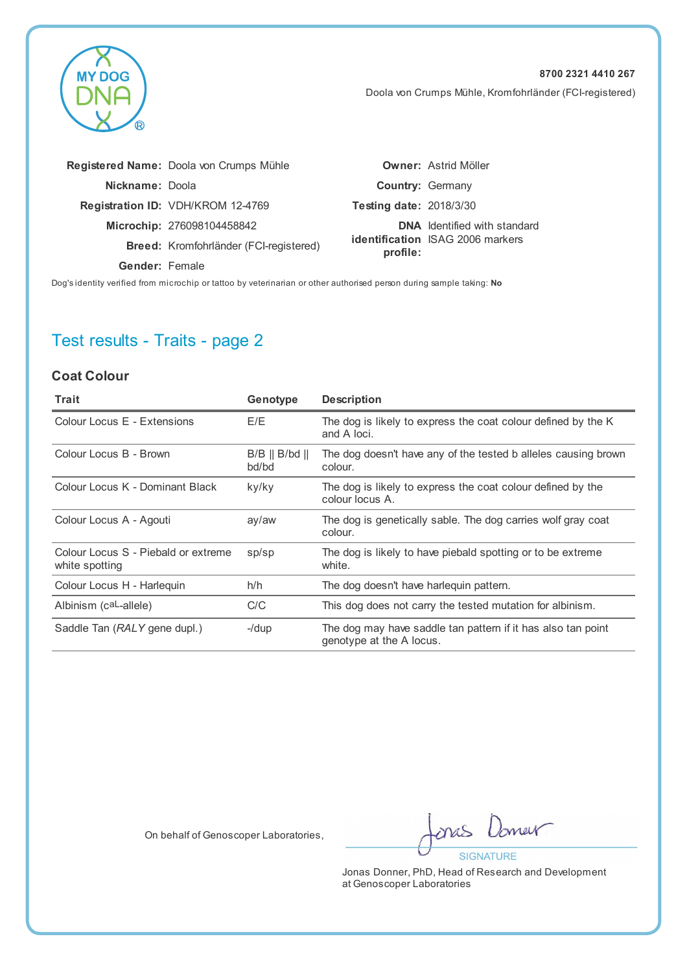

Doola von Crumps Mühle, Kromfohrländer (FCI-registered)

|                 | Registered Name: Doola von Crumps Mühle |                                | <b>Owner: Astrid Möller</b>             |
|-----------------|-----------------------------------------|--------------------------------|-----------------------------------------|
| Nickname: Doola |                                         |                                | <b>Country: Germany</b>                 |
|                 | Registration ID: VDH/KROM 12-4769       | <b>Testing date: 2018/3/30</b> |                                         |
|                 | Microchip: 276098104458842              |                                | <b>DNA</b> Identified with standard     |
|                 | Breed: Kromfohrländer (FCI-registered)  | profile:                       | <b>identification</b> ISAG 2006 markers |
| Gender: Female  |                                         |                                |                                         |
|                 |                                         |                                |                                         |

Dog's identity verified from microchip or tattoo by veterinarian or other authorised person during sample taking: **No**

# Test results - Traits - page 2

#### **Coat Colour**

| Trait                                                 | Genotype                                | <b>Description</b>                                                                       |
|-------------------------------------------------------|-----------------------------------------|------------------------------------------------------------------------------------------|
| Colour Locus E - Extensions                           | E/E                                     | The dog is likely to express the coat colour defined by the K<br>and A loci.             |
| Colour Locus B - Brown                                | $B/B \parallel B/bd \parallel$<br>bd/bd | The dog doesn't have any of the tested b alleles causing brown<br>colour.                |
| Colour Locus K - Dominant Black                       | ky/ky                                   | The dog is likely to express the coat colour defined by the<br>colour locus A.           |
| Colour Locus A - Agouti                               | ay/aw                                   | The dog is genetically sable. The dog carries wolf gray coat<br>colour.                  |
| Colour Locus S - Piebald or extreme<br>white spotting | sp/sp                                   | The dog is likely to have piebald spotting or to be extreme<br>white.                    |
| Colour Locus H - Harlequin                            | h/h                                     | The dog doesn't have harleguin pattern.                                                  |
| Albinism (caL-allele)                                 | C/C                                     | This dog does not carry the tested mutation for albinism.                                |
| Saddle Tan (RALY gene dupl.)                          | $-$ /dup                                | The dog may have saddle tan pattern if it has also tan point<br>genotype at the A locus. |

On behalf of Genoscoper Laboratories,

new mas **SIGNATURE**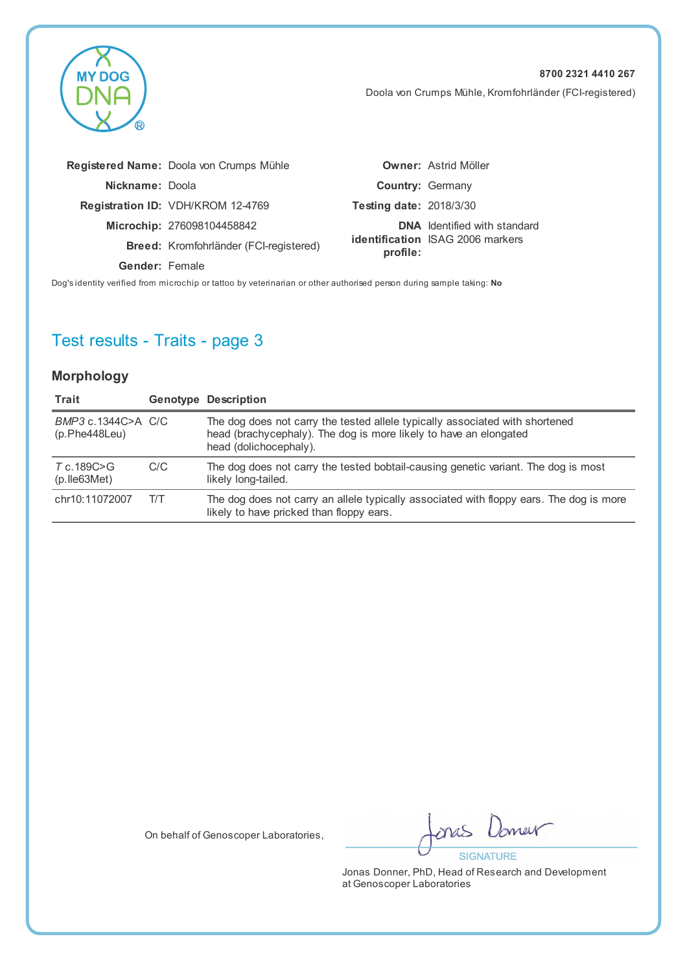**MY DOG** 

Doola von Crumps Mühle, Kromfohrländer (FCI-registered)

|                 | Registered Name: Doola von Crumps Mühle  |                                | <b>Owner: Astrid Möller</b>             |
|-----------------|------------------------------------------|--------------------------------|-----------------------------------------|
| Nickname: Doola |                                          |                                | <b>Country: Germany</b>                 |
|                 | <b>Registration ID: VDH/KROM 12-4769</b> | <b>Testing date: 2018/3/30</b> |                                         |
|                 | Microchip: 276098104458842               |                                | <b>DNA</b> Identified with standard     |
|                 | Breed: Kromfohrländer (FCI-registered)   | profile:                       | <b>identification</b> ISAG 2006 markers |
| Gender: Female  |                                          |                                |                                         |
|                 |                                          |                                |                                         |

Dog's identity verified from microchip or tattoo by veterinarian or other authorised person during sample taking: **No**

# Test results - Traits - page 3

#### **Morphology**

| Trait                               |     | <b>Genotype Description</b>                                                                                                                                                 |
|-------------------------------------|-----|-----------------------------------------------------------------------------------------------------------------------------------------------------------------------------|
| BMP3 c.1344C>A C/C<br>(p.Phe448Leu) |     | The dog does not carry the tested allele typically associated with shortened<br>head (brachycephaly). The dog is more likely to have an elongated<br>head (dolichocephaly). |
| T c.189C>G<br>$(p.$ Ile 63 Met $)$  | C/C | The dog does not carry the tested bobtail-causing genetic variant. The dog is most<br>likely long-tailed.                                                                   |
| chr10:11072007                      | T/T | The dog does not carry an allele typically associated with floppy ears. The dog is more<br>likely to have pricked than floppy ears.                                         |

On behalf of Genoscoper Laboratories,

new ones **SIGNATURE**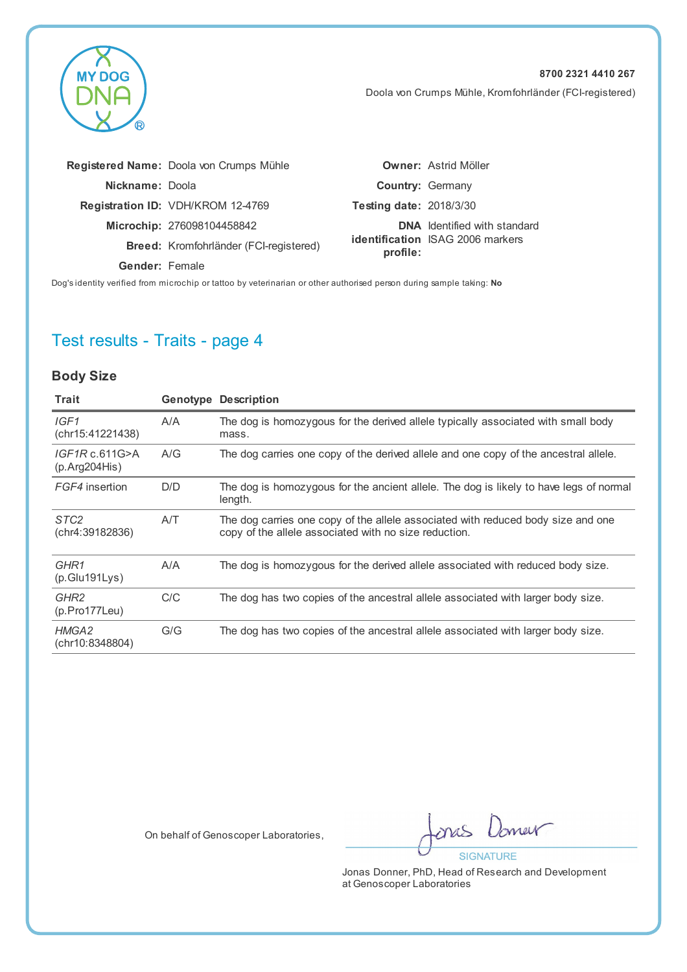

Doola von Crumps Mühle, Kromfohrländer (FCI-registered)

|                 | Registered Name: Doola von Crumps Mühle |                                | <b>Owner: Astrid Möller</b>             |
|-----------------|-----------------------------------------|--------------------------------|-----------------------------------------|
| Nickname: Doola |                                         |                                | <b>Country: Germany</b>                 |
|                 | Registration ID: VDH/KROM 12-4769       | <b>Testing date: 2018/3/30</b> |                                         |
|                 | Microchip: 276098104458842              |                                | <b>DNA</b> Identified with standard     |
|                 | Breed: Kromfohrländer (FCI-registered)  | profile:                       | <b>identification</b> ISAG 2006 markers |
| Gender: Female  |                                         |                                |                                         |
|                 |                                         |                                |                                         |

Dog's identity verified from microchip or tattoo by veterinarian or other authorised person during sample taking: **No**

# Test results - Traits - page 4

#### **Body Size**

| Trait                                    |     | <b>Genotype Description</b>                                                                                                               |
|------------------------------------------|-----|-------------------------------------------------------------------------------------------------------------------------------------------|
| IGF1<br>(chr15:41221438)                 | A/A | The dog is homozygous for the derived allele typically associated with small body<br>mass.                                                |
| IGF1Rc.611G>A<br>(p. Arg204His)          | A/G | The dog carries one copy of the derived allele and one copy of the ancestral allele.                                                      |
| FGF4 insertion                           | D/D | The dog is homozygous for the ancient allele. The dog is likely to have legs of normal<br>length.                                         |
| STC <sub>2</sub><br>(chr4:39182836)      | A/T | The dog carries one copy of the allele associated with reduced body size and one<br>copy of the allele associated with no size reduction. |
| GHR1<br>(p.Glu191Lys)                    | A/A | The dog is homozygous for the derived allele associated with reduced body size.                                                           |
| GHR <sub>2</sub><br>$(p. Pro177$ Leu $)$ | C/C | The dog has two copies of the ancestral allele associated with larger body size.                                                          |
| HMGA2<br>(chr10:8348804)                 | G/G | The dog has two copies of the ancestral allele associated with larger body size.                                                          |
|                                          |     |                                                                                                                                           |

On behalf of Genoscoper Laboratories,

new mas **SIGNATURE**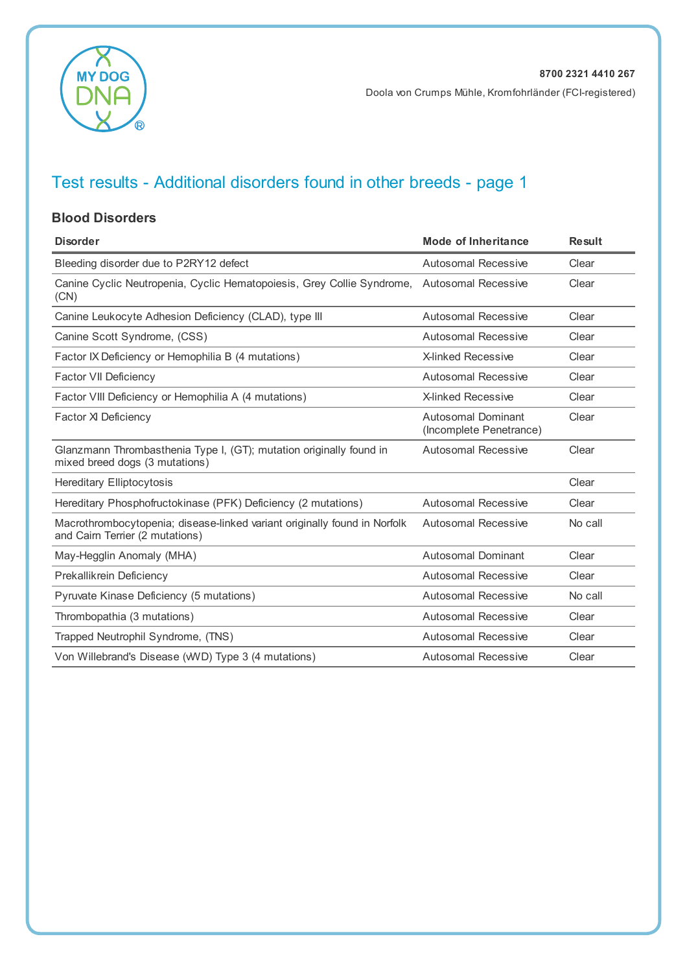

#### **Blood Disorders**

| <b>Disorder</b>                                                                                              | <b>Mode of Inheritance</b>                           | <b>Result</b> |
|--------------------------------------------------------------------------------------------------------------|------------------------------------------------------|---------------|
| Bleeding disorder due to P2RY12 defect                                                                       | <b>Autosomal Recessive</b>                           | Clear         |
| Canine Cyclic Neutropenia, Cyclic Hematopoiesis, Grey Collie Syndrome,<br>(CN)                               | <b>Autosomal Recessive</b>                           | Clear         |
| Canine Leukocyte Adhesion Deficiency (CLAD), type III                                                        | Autosomal Recessive                                  | Clear         |
| Canine Scott Syndrome, (CSS)                                                                                 | Autosomal Recessive                                  | Clear         |
| Factor IX Deficiency or Hemophilia B (4 mutations)                                                           | <b>X-linked Recessive</b>                            | Clear         |
| <b>Factor VII Deficiency</b>                                                                                 | Autosomal Recessive                                  | Clear         |
| Factor VIII Deficiency or Hemophilia A (4 mutations)                                                         | <b>X-linked Recessive</b>                            | Clear         |
| Factor XI Deficiency                                                                                         | <b>Autosomal Dominant</b><br>(Incomplete Penetrance) | Clear         |
| Glanzmann Thrombasthenia Type I, (GT); mutation originally found in<br>mixed breed dogs (3 mutations)        | Autosomal Recessive                                  | Clear         |
| <b>Hereditary Elliptocytosis</b>                                                                             |                                                      | Clear         |
| Hereditary Phosphofructokinase (PFK) Deficiency (2 mutations)                                                | Autosomal Recessive                                  | Clear         |
| Macrothrombocytopenia; disease-linked variant originally found in Norfolk<br>and Cairn Terrier (2 mutations) | <b>Autosomal Recessive</b>                           | No call       |
| May-Hegglin Anomaly (MHA)                                                                                    | <b>Autosomal Dominant</b>                            | Clear         |
| Prekallikrein Deficiency                                                                                     | <b>Autosomal Recessive</b>                           | Clear         |
| Pyruvate Kinase Deficiency (5 mutations)                                                                     | <b>Autosomal Recessive</b>                           | No call       |
| Thrombopathia (3 mutations)                                                                                  | <b>Autosomal Recessive</b>                           | Clear         |
| Trapped Neutrophil Syndrome, (TNS)                                                                           | Autosomal Recessive                                  | Clear         |
| Von Willebrand's Disease (WVD) Type 3 (4 mutations)                                                          | <b>Autosomal Recessive</b>                           | Clear         |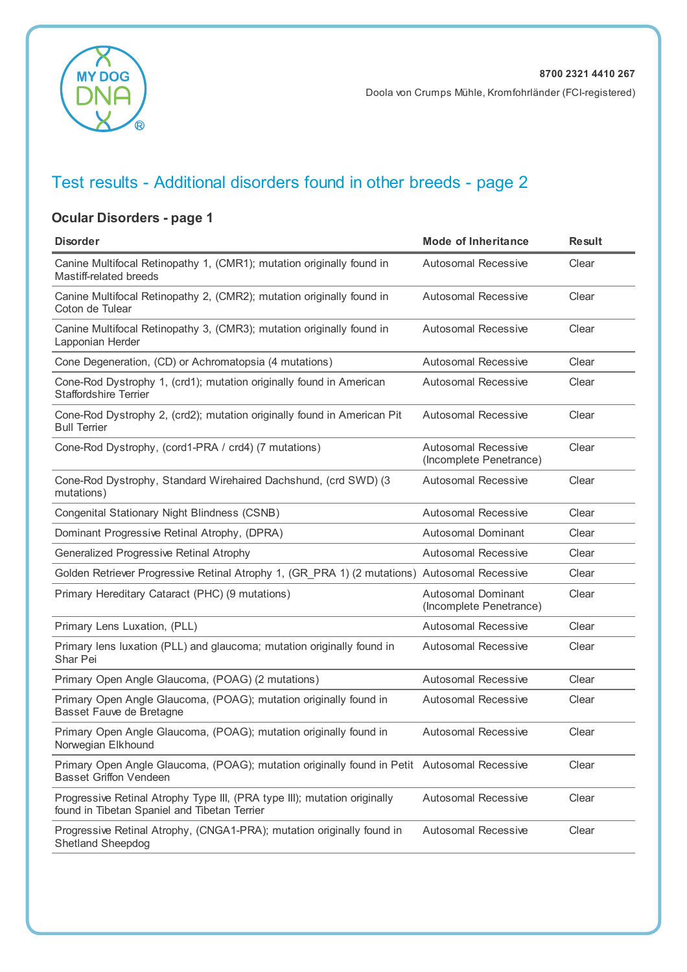

### **Ocular Disorders - page 1**

| <b>Disorder</b>                                                                                                              | <b>Mode of Inheritance</b>                            | <b>Result</b> |
|------------------------------------------------------------------------------------------------------------------------------|-------------------------------------------------------|---------------|
| Canine Multifocal Retinopathy 1, (CMR1); mutation originally found in<br>Mastiff-related breeds                              | <b>Autosomal Recessive</b>                            | Clear         |
| Canine Multifocal Retinopathy 2, (CMR2); mutation originally found in<br>Coton de Tulear                                     | <b>Autosomal Recessive</b>                            | Clear         |
| Canine Multifocal Retinopathy 3, (CMR3); mutation originally found in<br>Lapponian Herder                                    | <b>Autosomal Recessive</b>                            | Clear         |
| Cone Degeneration, (CD) or Achromatopsia (4 mutations)                                                                       | <b>Autosomal Recessive</b>                            | Clear         |
| Cone-Rod Dystrophy 1, (crd1); mutation originally found in American<br><b>Staffordshire Terrier</b>                          | <b>Autosomal Recessive</b>                            | Clear         |
| Cone-Rod Dystrophy 2, (crd2); mutation originally found in American Pit<br><b>Bull Terrier</b>                               | <b>Autosomal Recessive</b>                            | Clear         |
| Cone-Rod Dystrophy, (cord1-PRA / crd4) (7 mutations)                                                                         | <b>Autosomal Recessive</b><br>(Incomplete Penetrance) | Clear         |
| Cone-Rod Dystrophy, Standard Wirehaired Dachshund, (crd SWD) (3<br>mutations)                                                | <b>Autosomal Recessive</b>                            | Clear         |
| Congenital Stationary Night Blindness (CSNB)                                                                                 | Autosomal Recessive                                   | Clear         |
| Dominant Progressive Retinal Atrophy, (DPRA)                                                                                 | <b>Autosomal Dominant</b>                             | Clear         |
| Generalized Progressive Retinal Atrophy                                                                                      | <b>Autosomal Recessive</b>                            | Clear         |
| Golden Retriever Progressive Retinal Atrophy 1, (GR_PRA 1) (2 mutations) Autosomal Recessive                                 |                                                       | Clear         |
| Primary Hereditary Cataract (PHC) (9 mutations)                                                                              | <b>Autosomal Dominant</b><br>(Incomplete Penetrance)  | Clear         |
| Primary Lens Luxation, (PLL)                                                                                                 | <b>Autosomal Recessive</b>                            | Clear         |
| Primary lens luxation (PLL) and glaucoma; mutation originally found in<br>Shar Pei                                           | <b>Autosomal Recessive</b>                            | Clear         |
| Primary Open Angle Glaucoma, (POAG) (2 mutations)                                                                            | <b>Autosomal Recessive</b>                            | Clear         |
| Primary Open Angle Glaucoma, (POAG); mutation originally found in<br>Basset Fauve de Bretagne                                | <b>Autosomal Recessive</b>                            | Clear         |
| Primary Open Angle Glaucoma, (POAG); mutation originally found in<br>Norwegian Elkhound                                      | <b>Autosomal Recessive</b>                            | Clear         |
| Primary Open Angle Glaucoma, (POAG); mutation originally found in Petit Autosomal Recessive<br><b>Basset Griffon Vendeen</b> |                                                       | Clear         |
| Progressive Retinal Atrophy Type III, (PRA type III); mutation originally<br>found in Tibetan Spaniel and Tibetan Terrier    | <b>Autosomal Recessive</b>                            | Clear         |
| Progressive Retinal Atrophy, (CNGA1-PRA); mutation originally found in<br><b>Shetland Sheepdog</b>                           | <b>Autosomal Recessive</b>                            | Clear         |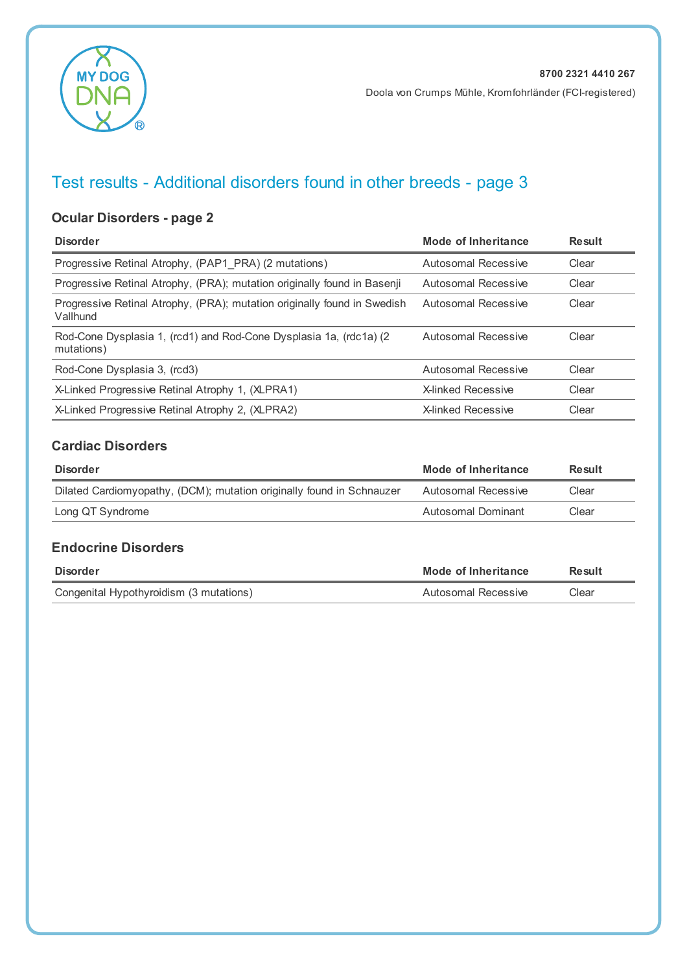

### **Ocular Disorders - page 2**

| <b>Disorder</b>                                                                      | Mode of Inheritance       | <b>Result</b> |
|--------------------------------------------------------------------------------------|---------------------------|---------------|
| Progressive Retinal Atrophy, (PAP1 PRA) (2 mutations)                                | Autosomal Recessive       | Clear         |
| Progressive Retinal Atrophy, (PRA); mutation originally found in Basenji             | Autosomal Recessive       | Clear         |
| Progressive Retinal Atrophy, (PRA); mutation originally found in Swedish<br>Vallhund | Autosomal Recessive       | Clear         |
| Rod-Cone Dysplasia 1, (rcd1) and Rod-Cone Dysplasia 1a, (rdc1a) (2<br>mutations)     | Autosomal Recessive       | Clear         |
| Rod-Cone Dysplasia 3, (rcd3)                                                         | Autosomal Recessive       | Clear         |
| X-Linked Progressive Retinal Atrophy 1, (XLPRA1)                                     | X-linked Recessive        | Clear         |
| X-Linked Progressive Retinal Atrophy 2, (XLPRA2)                                     | <b>X-linked Recessive</b> | Clear         |

#### **Cardiac Disorders**

| <b>Disorder</b>                                                       | Mode of Inheritance | Result |
|-----------------------------------------------------------------------|---------------------|--------|
| Dilated Cardiomyopathy, (DCM); mutation originally found in Schnauzer | Autosomal Recessive | Clear  |
| Long QT Syndrome                                                      | Autosomal Dominant  | Clear  |

#### **Endocrine Disorders**

| <b>Disorder</b>                         | Mode of Inheritance | Result |
|-----------------------------------------|---------------------|--------|
| Congenital Hypothyroidism (3 mutations) | Autosomal Recessive | Clear  |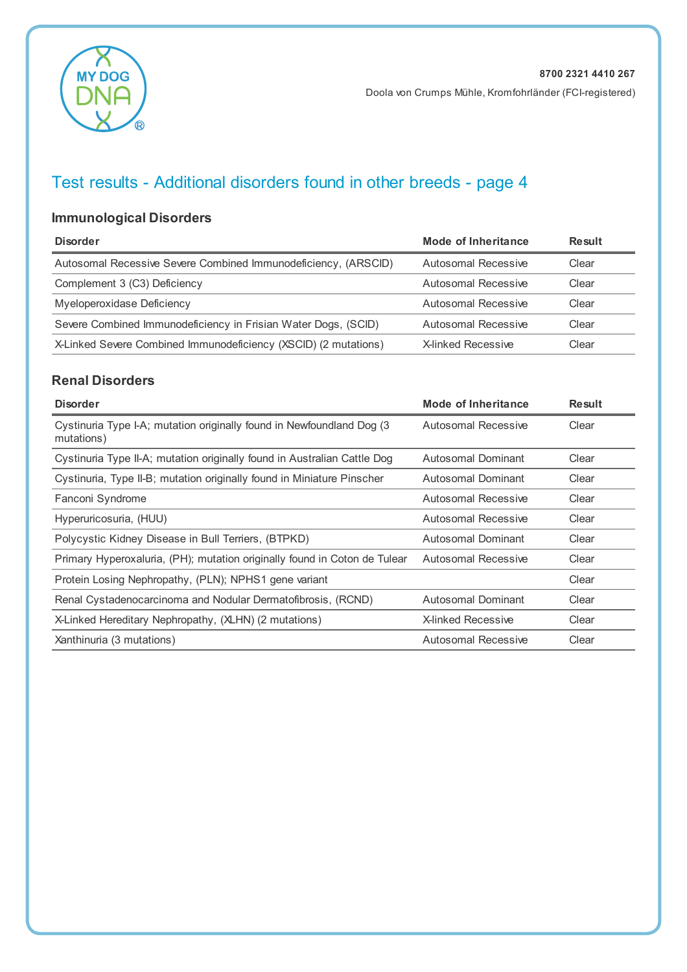

### **Immunological Disorders**

| <b>Disorder</b>                                                 | Mode of Inheritance | Result |
|-----------------------------------------------------------------|---------------------|--------|
| Autosomal Recessive Severe Combined Immunodeficiency, (ARSCID)  | Autosomal Recessive | Clear  |
| Complement 3 (C3) Deficiency                                    | Autosomal Recessive | Clear  |
| Myeloperoxidase Deficiency                                      | Autosomal Recessive | Clear  |
| Severe Combined Immunodeficiency in Frisian Water Dogs, (SCID)  | Autosomal Recessive | Clear  |
| X-Linked Severe Combined Immunodeficiency (XSCID) (2 mutations) | X-linked Recessive  | Clear  |

#### **Renal Disorders**

| <b>Disorder</b>                                                                     | Mode of Inheritance        | <b>Result</b> |
|-------------------------------------------------------------------------------------|----------------------------|---------------|
| Cystinuria Type I-A; mutation originally found in Newfoundland Dog (3<br>mutations) | Autosomal Recessive        | Clear         |
| Cystinuria Type II-A; mutation originally found in Australian Cattle Dog            | Autosomal Dominant         | Clear         |
| Cystinuria, Type II-B; mutation originally found in Miniature Pinscher              | Autosomal Dominant         | Clear         |
| Fanconi Syndrome                                                                    | <b>Autosomal Recessive</b> | Clear         |
| Hyperuricosuria, (HUU)                                                              | Autosomal Recessive        | Clear         |
| Polycystic Kidney Disease in Bull Terriers, (BTPKD)                                 | Autosomal Dominant         | Clear         |
| Primary Hyperoxaluria, (PH); mutation originally found in Coton de Tulear           | Autosomal Recessive        | Clear         |
| Protein Losing Nephropathy, (PLN); NPHS1 gene variant                               |                            | Clear         |
| Renal Cystadenocarcinoma and Nodular Dermatofibrosis, (RCND)                        | Autosomal Dominant         | Clear         |
| X-Linked Hereditary Nephropathy, (XLHN) (2 mutations)                               | <b>X-linked Recessive</b>  | Clear         |
| Xanthinuria (3 mutations)                                                           | Autosomal Recessive        | Clear         |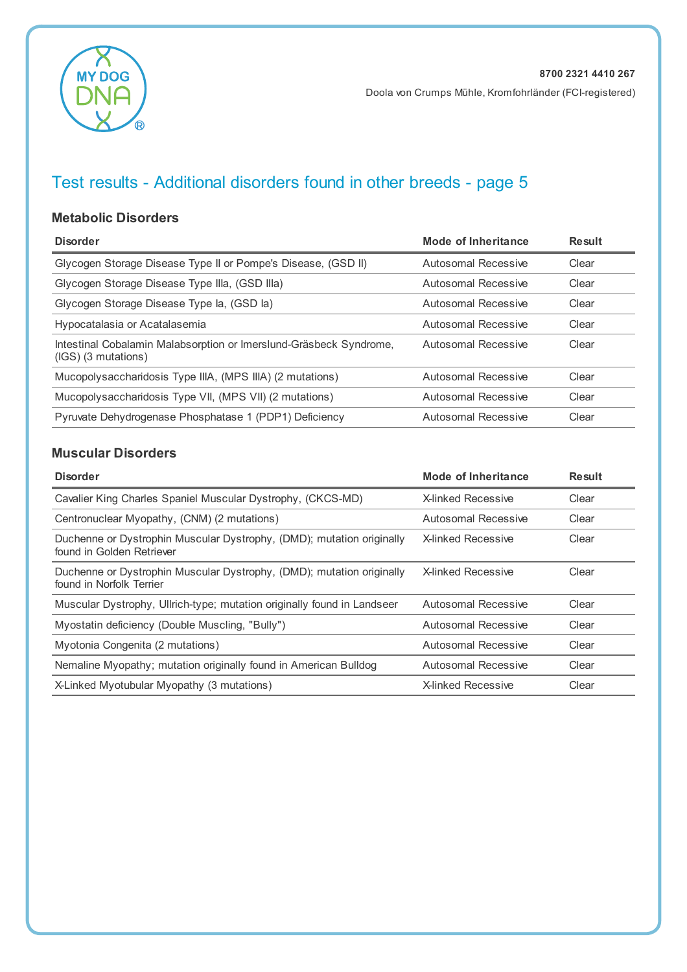

#### **Metabolic Disorders**

| <b>Disorder</b>                                                                             | Mode of Inheritance | <b>Result</b> |
|---------------------------------------------------------------------------------------------|---------------------|---------------|
| Glycogen Storage Disease Type II or Pompe's Disease, (GSD II)                               | Autosomal Recessive | Clear         |
| Glycogen Storage Disease Type IIIa, (GSD IIIa)                                              | Autosomal Recessive | Clear         |
| Glycogen Storage Disease Type la, (GSD la)                                                  | Autosomal Recessive | Clear         |
| Hypocatalasia or Acatalasemia                                                               | Autosomal Recessive | Clear         |
| Intestinal Cobalamin Malabsorption or Imerslund-Gräsbeck Syndrome,<br>$(IGS)$ (3 mutations) | Autosomal Recessive | Clear         |
| Mucopolysaccharidosis Type IIIA, (MPS IIIA) (2 mutations)                                   | Autosomal Recessive | Clear         |
| Mucopolysaccharidosis Type VII, (MPS VII) (2 mutations)                                     | Autosomal Recessive | Clear         |
| Pyruvate Dehydrogenase Phosphatase 1 (PDP1) Deficiency                                      | Autosomal Recessive | Clear         |

#### **Muscular Disorders**

| <b>Disorder</b>                                                                                    | <b>Mode of Inheritance</b> | <b>Result</b> |
|----------------------------------------------------------------------------------------------------|----------------------------|---------------|
| Cavalier King Charles Spaniel Muscular Dystrophy, (CKCS-MD)                                        | X-linked Recessive         | Clear         |
| Centronuclear Myopathy, (CNM) (2 mutations)                                                        | Autosomal Recessive        | Clear         |
| Duchenne or Dystrophin Muscular Dystrophy, (DMD); mutation originally<br>found in Golden Retriever | <b>X-linked Recessive</b>  | Clear         |
| Duchenne or Dystrophin Muscular Dystrophy, (DMD); mutation originally<br>found in Norfolk Terrier  | <b>X-linked Recessive</b>  | Clear         |
| Muscular Dystrophy, Ullrich-type; mutation originally found in Landseer                            | Autosomal Recessive        | Clear         |
| Myostatin deficiency (Double Muscling, "Bully")                                                    | Autosomal Recessive        | Clear         |
| Myotonia Congenita (2 mutations)                                                                   | Autosomal Recessive        | Clear         |
| Nemaline Myopathy; mutation originally found in American Bulldog                                   | Autosomal Recessive        | Clear         |
| X-Linked Myotubular Myopathy (3 mutations)                                                         | <b>X-linked Recessive</b>  | Clear         |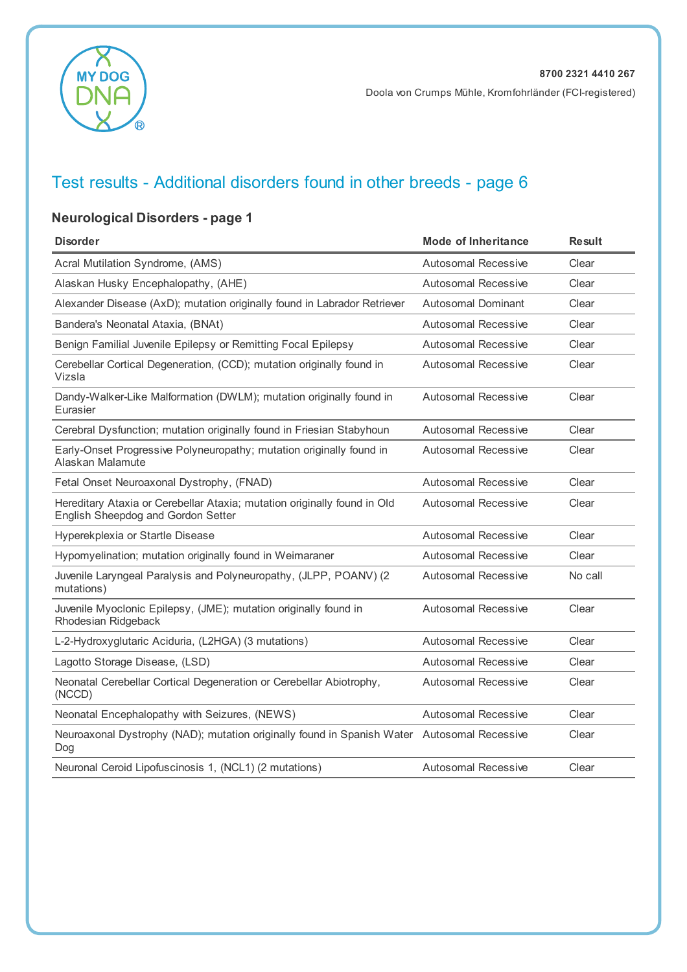

### **Neurological Disorders - page 1**

| <b>Disorder</b>                                                                                                | Mode of Inheritance        | <b>Result</b> |
|----------------------------------------------------------------------------------------------------------------|----------------------------|---------------|
| Acral Mutilation Syndrome, (AMS)                                                                               | Autosomal Recessive        | Clear         |
| Alaskan Husky Encephalopathy, (AHE)                                                                            | Autosomal Recessive        | Clear         |
| Alexander Disease (AxD); mutation originally found in Labrador Retriever                                       | <b>Autosomal Dominant</b>  | Clear         |
| Bandera's Neonatal Ataxia, (BNAt)                                                                              | Autosomal Recessive        | Clear         |
| Benign Familial Juvenile Epilepsy or Remitting Focal Epilepsy                                                  | <b>Autosomal Recessive</b> | Clear         |
| Cerebellar Cortical Degeneration, (CCD); mutation originally found in<br>Vizsla                                | <b>Autosomal Recessive</b> | Clear         |
| Dandy-Walker-Like Malformation (DWLM); mutation originally found in<br>Eurasier                                | <b>Autosomal Recessive</b> | Clear         |
| Cerebral Dysfunction; mutation originally found in Friesian Stabyhoun                                          | <b>Autosomal Recessive</b> | Clear         |
| Early-Onset Progressive Polyneuropathy; mutation originally found in<br>Alaskan Malamute                       | Autosomal Recessive        | Clear         |
| Fetal Onset Neuroaxonal Dystrophy, (FNAD)                                                                      | <b>Autosomal Recessive</b> | Clear         |
| Hereditary Ataxia or Cerebellar Ataxia; mutation originally found in Old<br>English Sheepdog and Gordon Setter | <b>Autosomal Recessive</b> | Clear         |
| Hyperekplexia or Startle Disease                                                                               | <b>Autosomal Recessive</b> | Clear         |
| Hypomyelination; mutation originally found in Weimaraner                                                       | <b>Autosomal Recessive</b> | Clear         |
| Juvenile Laryngeal Paralysis and Polyneuropathy, (JLPP, POANV) (2<br>mutations)                                | <b>Autosomal Recessive</b> | No call       |
| Juvenile Myoclonic Epilepsy, (JME); mutation originally found in<br>Rhodesian Ridgeback                        | <b>Autosomal Recessive</b> | Clear         |
| L-2-Hydroxyglutaric Aciduria, (L2HGA) (3 mutations)                                                            | <b>Autosomal Recessive</b> | Clear         |
| Lagotto Storage Disease, (LSD)                                                                                 | <b>Autosomal Recessive</b> | Clear         |
| Neonatal Cerebellar Cortical Degeneration or Cerebellar Abiotrophy,<br>(NCCD)                                  | <b>Autosomal Recessive</b> | Clear         |
| Neonatal Encephalopathy with Seizures, (NEWS)                                                                  | Autosomal Recessive        | Clear         |
| Neuroaxonal Dystrophy (NAD); mutation originally found in Spanish Water Autosomal Recessive<br>Dog             |                            | Clear         |
| Neuronal Ceroid Lipofuscinosis 1, (NCL1) (2 mutations)                                                         | Autosomal Recessive        | Clear         |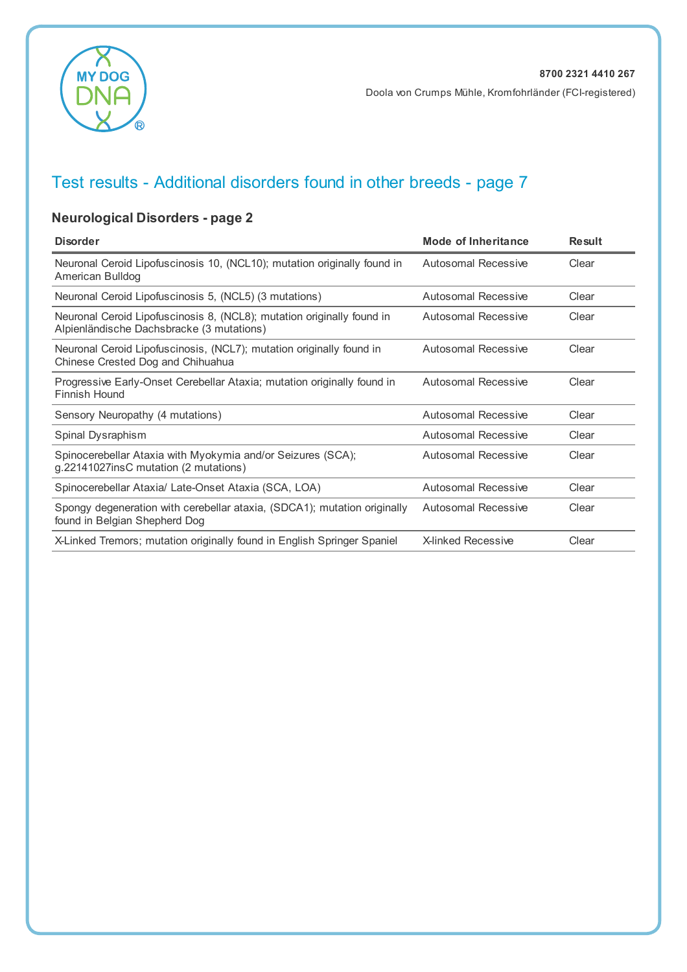

#### Doola von Crumps Mühle, Kromfohrländer (FCI-registered)

# Test results - Additional disorders found in other breeds - page 7

### **Neurological Disorders - page 2**

| <b>Disorder</b>                                                                                                     | Mode of Inheritance        | <b>Result</b> |
|---------------------------------------------------------------------------------------------------------------------|----------------------------|---------------|
| Neuronal Ceroid Lipofuscinosis 10, (NCL10); mutation originally found in<br>American Bulldog                        | Autosomal Recessive        | Clear         |
| Neuronal Ceroid Lipofuscinosis 5, (NCL5) (3 mutations)                                                              | Autosomal Recessive        | Clear         |
| Neuronal Ceroid Lipofuscinosis 8, (NCL8); mutation originally found in<br>Alpienländische Dachsbracke (3 mutations) | Autosomal Recessive        | Clear         |
| Neuronal Ceroid Lipofuscinosis, (NCL7); mutation originally found in<br>Chinese Crested Dog and Chihuahua           | Autosomal Recessive        | Clear         |
| Progressive Early-Onset Cerebellar Ataxia; mutation originally found in<br>Finnish Hound                            | Autosomal Recessive        | Clear         |
| Sensory Neuropathy (4 mutations)                                                                                    | Autosomal Recessive        | Clear         |
| Spinal Dysraphism                                                                                                   | Autosomal Recessive        | Clear         |
| Spinocerebellar Ataxia with Myokymia and/or Seizures (SCA);<br>g.22141027insC mutation (2 mutations)                | <b>Autosomal Recessive</b> | Clear         |
| Spinocerebellar Ataxia/ Late-Onset Ataxia (SCA, LOA)                                                                | Autosomal Recessive        | Clear         |
| Spongy degeneration with cerebellar ataxia, (SDCA1); mutation originally<br>found in Belgian Shepherd Dog           | <b>Autosomal Recessive</b> | Clear         |
| X-Linked Tremors; mutation originally found in English Springer Spaniel                                             | <b>X-linked Recessive</b>  | Clear         |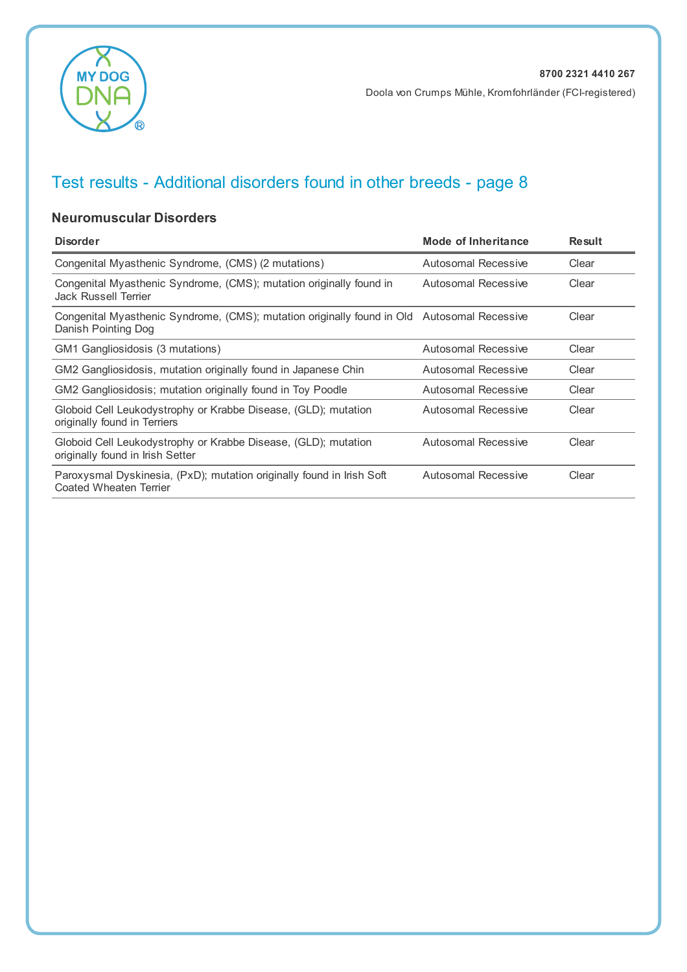

#### **Neuromuscular Disorders**

| <b>Disorder</b>                                                                                                    | <b>Mode of Inheritance</b> | <b>Result</b> |
|--------------------------------------------------------------------------------------------------------------------|----------------------------|---------------|
| Congenital Myasthenic Syndrome, (CMS) (2 mutations)                                                                | Autosomal Recessive        | Clear         |
| Congenital Myasthenic Syndrome, (CMS); mutation originally found in<br>Jack Russell Terrier                        | Autosomal Recessive        | Clear         |
| Congenital Myasthenic Syndrome, (CMS); mutation originally found in Old Autosomal Recessive<br>Danish Pointing Dog |                            | Clear         |
| GM1 Gangliosidosis (3 mutations)                                                                                   | Autosomal Recessive        | Clear         |
| GM2 Gangliosidosis, mutation originally found in Japanese Chin                                                     | Autosomal Recessive        | Clear         |
| GM2 Gangliosidosis; mutation originally found in Toy Poodle                                                        | Autosomal Recessive        | Clear         |
| Globoid Cell Leukodystrophy or Krabbe Disease, (GLD); mutation<br>originally found in Terriers                     | Autosomal Recessive        | Clear         |
| Globoid Cell Leukodystrophy or Krabbe Disease, (GLD); mutation<br>originally found in Irish Setter                 | Autosomal Recessive        | Clear         |
| Paroxysmal Dyskinesia, (PxD); mutation originally found in Irish Soft<br>Coated Wheaten Terrier                    | Autosomal Recessive        | Clear         |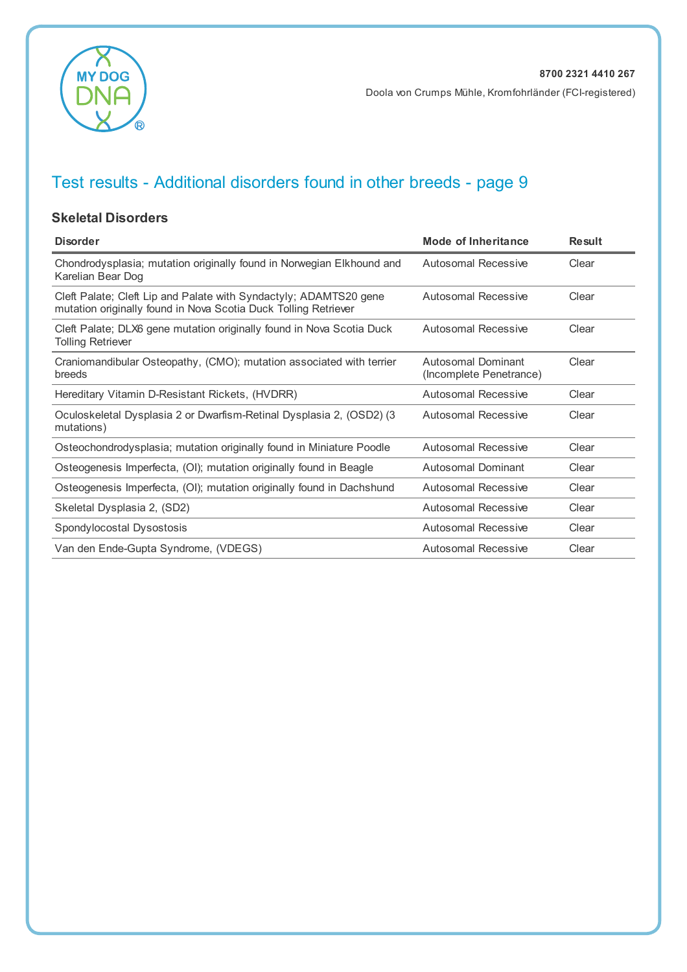

#### **Skeletal Disorders**

| <b>Disorder</b>                                                                                                                      | Mode of Inheritance                           | <b>Result</b> |
|--------------------------------------------------------------------------------------------------------------------------------------|-----------------------------------------------|---------------|
| Chondrodysplasia; mutation originally found in Norwegian Elkhound and<br>Karelian Bear Dog                                           | Autosomal Recessive                           | Clear         |
| Cleft Palate; Cleft Lip and Palate with Syndactyly; ADAMTS20 gene<br>mutation originally found in Nova Scotia Duck Tolling Retriever | Autosomal Recessive                           | Clear         |
| Cleft Palate; DLX6 gene mutation originally found in Nova Scotia Duck<br>Tolling Retriever                                           | Autosomal Recessive                           | Clear         |
| Craniomandibular Osteopathy, (CMO); mutation associated with terrier<br>breeds                                                       | Autosomal Dominant<br>(Incomplete Penetrance) | Clear         |
| Hereditary Vitamin D-Resistant Rickets, (HVDRR)                                                                                      | Autosomal Recessive                           | Clear         |
| Oculoskeletal Dysplasia 2 or Dwarfism-Retinal Dysplasia 2, (OSD2) (3<br>mutations)                                                   | Autosomal Recessive                           | Clear         |
| Osteochondrodysplasia; mutation originally found in Miniature Poodle                                                                 | Autosomal Recessive                           | Clear         |
| Osteogenesis Imperfecta, (OI); mutation originally found in Beagle                                                                   | Autosomal Dominant                            | Clear         |
| Osteogenesis Imperfecta, (OI); mutation originally found in Dachshund                                                                | <b>Autosomal Recessive</b>                    | Clear         |
| Skeletal Dysplasia 2, (SD2)                                                                                                          | Autosomal Recessive                           | Clear         |
| Spondylocostal Dysostosis                                                                                                            | <b>Autosomal Recessive</b>                    | Clear         |
| Van den Ende-Gupta Syndrome, (VDEGS)                                                                                                 | Autosomal Recessive                           | Clear         |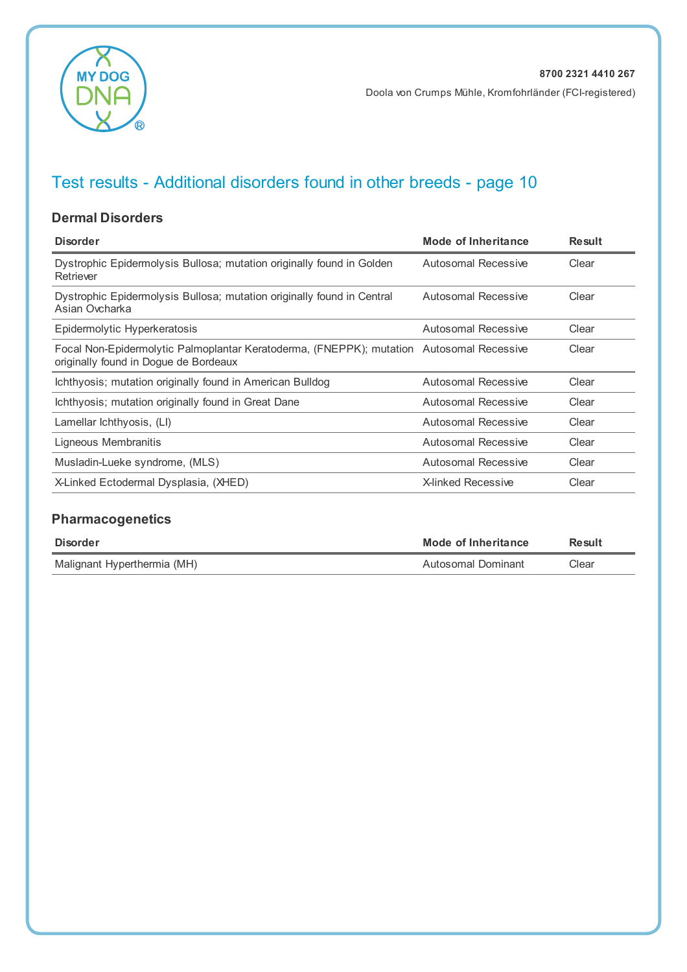

#### **Dermal Disorders**

| <b>Disorder</b>                                                                                                                   | Mode of Inheritance       | <b>Result</b> |
|-----------------------------------------------------------------------------------------------------------------------------------|---------------------------|---------------|
| Dystrophic Epidermolysis Bullosa; mutation originally found in Golden<br>Retriever                                                | Autosomal Recessive       | Clear         |
| Dystrophic Epidermolysis Bullosa; mutation originally found in Central<br>Asian Ovcharka                                          | Autosomal Recessive       | Clear         |
| Epidermolytic Hyperkeratosis                                                                                                      | Autosomal Recessive       | Clear         |
| Focal Non-Epidermolytic Palmoplantar Keratoderma, (FNEPPK); mutation Autosomal Recessive<br>originally found in Dogue de Bordeaux |                           | Clear         |
| Ichthyosis; mutation originally found in American Bulldog                                                                         | Autosomal Recessive       | Clear         |
| Ichthyosis; mutation originally found in Great Dane                                                                               | Autosomal Recessive       | Clear         |
| Lamellar lchthyosis, (LI)                                                                                                         | Autosomal Recessive       | Clear         |
| Ligneous Membranitis                                                                                                              | Autosomal Recessive       | Clear         |
| Musladin-Lueke syndrome, (MLS)                                                                                                    | Autosomal Recessive       | Clear         |
| X-Linked Ectodermal Dysplasia, (XHED)                                                                                             | <b>X-linked Recessive</b> | Clear         |

### **Pharmacogenetics**

| Disorder                    | Mode of Inheritance | Result |
|-----------------------------|---------------------|--------|
| Malignant Hyperthermia (MH) | Autosomal Dominant  | Clear  |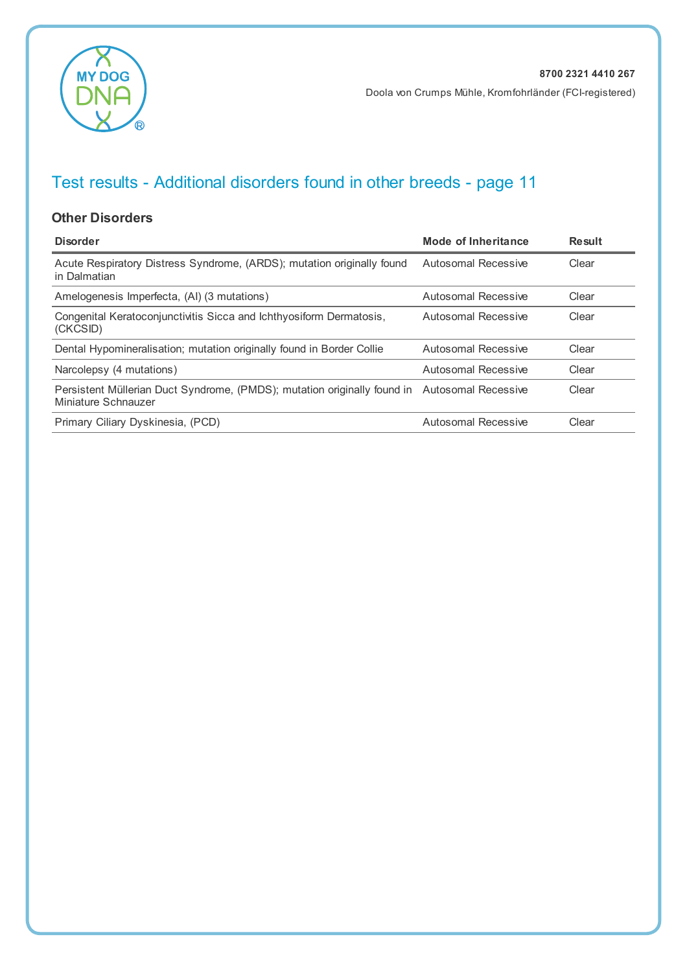

#### **Other Disorders**

| <b>Disorder</b>                                                                                                     | Mode of Inheritance | Result |
|---------------------------------------------------------------------------------------------------------------------|---------------------|--------|
| Acute Respiratory Distress Syndrome, (ARDS); mutation originally found<br>in Dalmatian                              | Autosomal Recessive | Clear  |
| Amelogenesis Imperfecta, (AI) (3 mutations)                                                                         | Autosomal Recessive | Clear  |
| Congenital Keratoconjunctivitis Sicca and Ichthyosiform Dermatosis,<br>(CKCSID)                                     | Autosomal Recessive | Clear  |
| Dental Hypomineralisation; mutation originally found in Border Collie                                               | Autosomal Recessive | Clear  |
| Narcolepsy (4 mutations)                                                                                            | Autosomal Recessive | Clear  |
| Persistent Müllerian Duct Syndrome, (PMDS); mutation originally found in Autosomal Recessive<br>Miniature Schnauzer |                     | Clear  |
| Primary Ciliary Dyskinesia, (PCD)                                                                                   | Autosomal Recessive | Clear  |